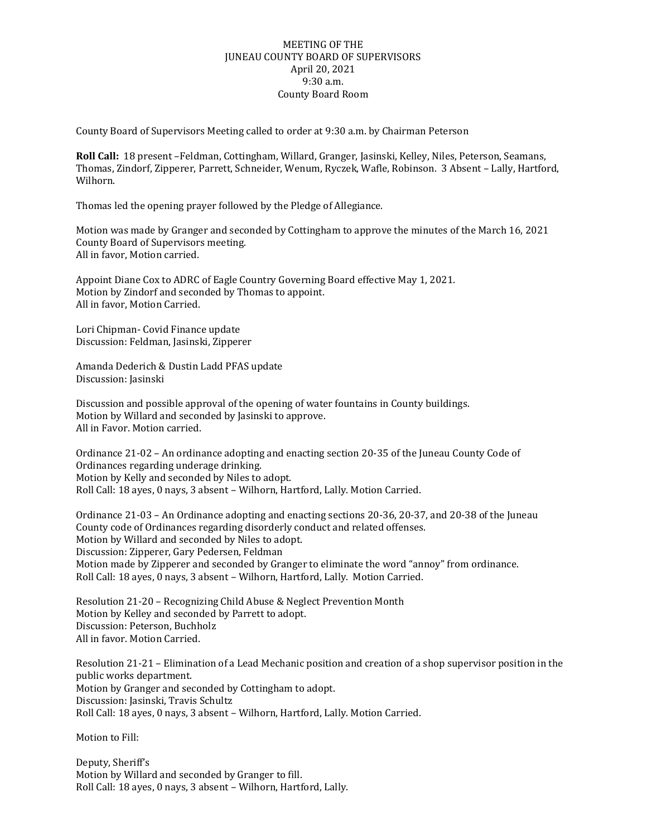## MEETING OF THE JUNEAU COUNTY BOARD OF SUPERVISORS April 20, 2021 9:30 a.m. County Board Room

County Board of Supervisors Meeting called to order at 9:30 a.m. by Chairman Peterson

**Roll Call:** 18 present –Feldman, Cottingham, Willard, Granger, Jasinski, Kelley, Niles, Peterson, Seamans, Thomas, Zindorf, Zipperer, Parrett, Schneider, Wenum, Ryczek, Wafle, Robinson. 3 Absent – Lally, Hartford, Wilhorn.

Thomas led the opening prayer followed by the Pledge of Allegiance.

Motion was made by Granger and seconded by Cottingham to approve the minutes of the March 16, 2021 County Board of Supervisors meeting. All in favor, Motion carried.

Appoint Diane Cox to ADRC of Eagle Country Governing Board effective May 1, 2021. Motion by Zindorf and seconded by Thomas to appoint. All in favor, Motion Carried.

Lori Chipman- Covid Finance update Discussion: Feldman, Jasinski, Zipperer

Amanda Dederich & Dustin Ladd PFAS update Discussion: Jasinski

Discussion and possible approval of the opening of water fountains in County buildings. Motion by Willard and seconded by Jasinski to approve. All in Favor. Motion carried.

Ordinance 21-02 – An ordinance adopting and enacting section 20-35 of the Juneau County Code of Ordinances regarding underage drinking. Motion by Kelly and seconded by Niles to adopt. Roll Call: 18 ayes, 0 nays, 3 absent – Wilhorn, Hartford, Lally. Motion Carried.

Ordinance 21-03 – An Ordinance adopting and enacting sections 20-36, 20-37, and 20-38 of the Juneau County code of Ordinances regarding disorderly conduct and related offenses. Motion by Willard and seconded by Niles to adopt. Discussion: Zipperer, Gary Pedersen, Feldman Motion made by Zipperer and seconded by Granger to eliminate the word "annoy" from ordinance. Roll Call: 18 ayes, 0 nays, 3 absent – Wilhorn, Hartford, Lally. Motion Carried.

Resolution 21-20 – Recognizing Child Abuse & Neglect Prevention Month Motion by Kelley and seconded by Parrett to adopt. Discussion: Peterson, Buchholz All in favor. Motion Carried.

Resolution 21-21 – Elimination of a Lead Mechanic position and creation of a shop supervisor position in the public works department. Motion by Granger and seconded by Cottingham to adopt. Discussion: Jasinski, Travis Schultz Roll Call: 18 ayes, 0 nays, 3 absent – Wilhorn, Hartford, Lally. Motion Carried.

Motion to Fill:

Deputy, Sheriff's Motion by Willard and seconded by Granger to fill. Roll Call: 18 ayes, 0 nays, 3 absent – Wilhorn, Hartford, Lally.